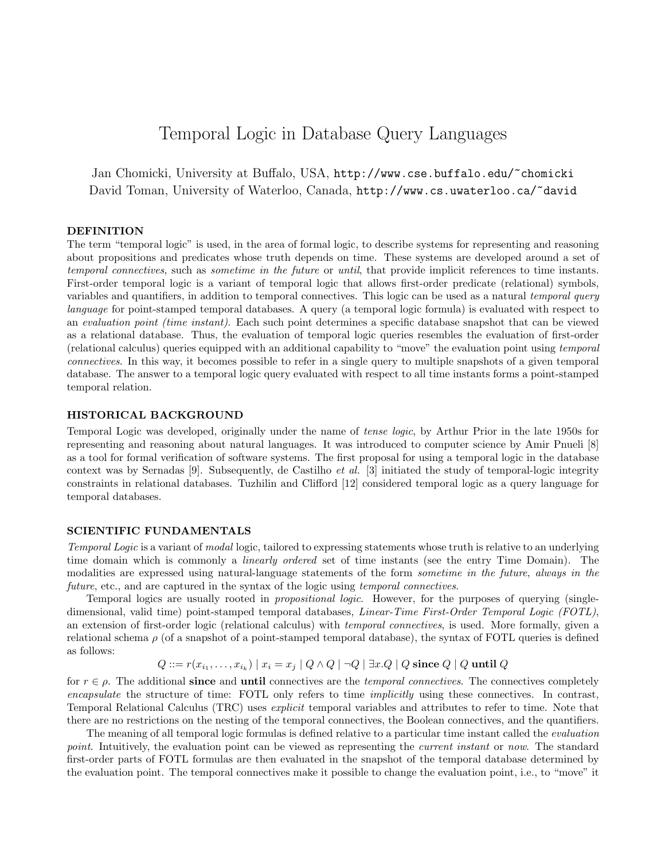# Temporal Logic in Database Query Languages

Jan Chomicki, University at Buffalo, USA, http://www.cse.buffalo.edu/~chomicki David Toman, University of Waterloo, Canada, http://www.cs.uwaterloo.ca/~david

# DEFINITION

The term "temporal logic" is used, in the area of formal logic, to describe systems for representing and reasoning about propositions and predicates whose truth depends on time. These systems are developed around a set of temporal connectives, such as sometime in the future or until, that provide implicit references to time instants. First-order temporal logic is a variant of temporal logic that allows first-order predicate (relational) symbols, variables and quantifiers, in addition to temporal connectives. This logic can be used as a natural temporal query language for point-stamped temporal databases. A query (a temporal logic formula) is evaluated with respect to an evaluation point (time instant). Each such point determines a specific database snapshot that can be viewed as a relational database. Thus, the evaluation of temporal logic queries resembles the evaluation of first-order (relational calculus) queries equipped with an additional capability to "move" the evaluation point using temporal connectives. In this way, it becomes possible to refer in a single query to multiple snapshots of a given temporal database. The answer to a temporal logic query evaluated with respect to all time instants forms a point-stamped temporal relation.

# HISTORICAL BACKGROUND

Temporal Logic was developed, originally under the name of tense logic, by Arthur Prior in the late 1950s for representing and reasoning about natural languages. It was introduced to computer science by Amir Pnueli [8] as a tool for formal verification of software systems. The first proposal for using a temporal logic in the database context was by Sernadas [9]. Subsequently, de Castilho et al. [3] initiated the study of temporal-logic integrity constraints in relational databases. Tuzhilin and Clifford [12] considered temporal logic as a query language for temporal databases.

# SCIENTIFIC FUNDAMENTALS

Temporal Logic is a variant of modal logic, tailored to expressing statements whose truth is relative to an underlying time domain which is commonly a *linearly ordered* set of time instants (see the entry Time Domain). The modalities are expressed using natural-language statements of the form *sometime in the future*, *always in the* future, etc., and are captured in the syntax of the logic using temporal connectives.

Temporal logics are usually rooted in *propositional logic*. However, for the purposes of querying (singledimensional, valid time) point-stamped temporal databases, Linear-Time First-Order Temporal Logic (FOTL), an extension of first-order logic (relational calculus) with temporal connectives, is used. More formally, given a relational schema  $\rho$  (of a snapshot of a point-stamped temporal database), the syntax of FOTL queries is defined as follows:

$$
Q ::= r(x_{i_1}, \ldots, x_{i_k}) \mid x_i = x_j \mid Q \land Q \mid \neg Q \mid \exists x . Q \mid Q \text{ since } Q \mid Q \text{ until } Q
$$

for  $r \in \rho$ . The additional since and until connectives are the *temporal connectives*. The connectives completely encapsulate the structure of time: FOTL only refers to time implicitly using these connectives. In contrast, Temporal Relational Calculus (TRC) uses explicit temporal variables and attributes to refer to time. Note that there are no restrictions on the nesting of the temporal connectives, the Boolean connectives, and the quantifiers.

The meaning of all temporal logic formulas is defined relative to a particular time instant called the evaluation point. Intuitively, the evaluation point can be viewed as representing the *current instant* or now. The standard first-order parts of FOTL formulas are then evaluated in the snapshot of the temporal database determined by the evaluation point. The temporal connectives make it possible to change the evaluation point, i.e., to "move" it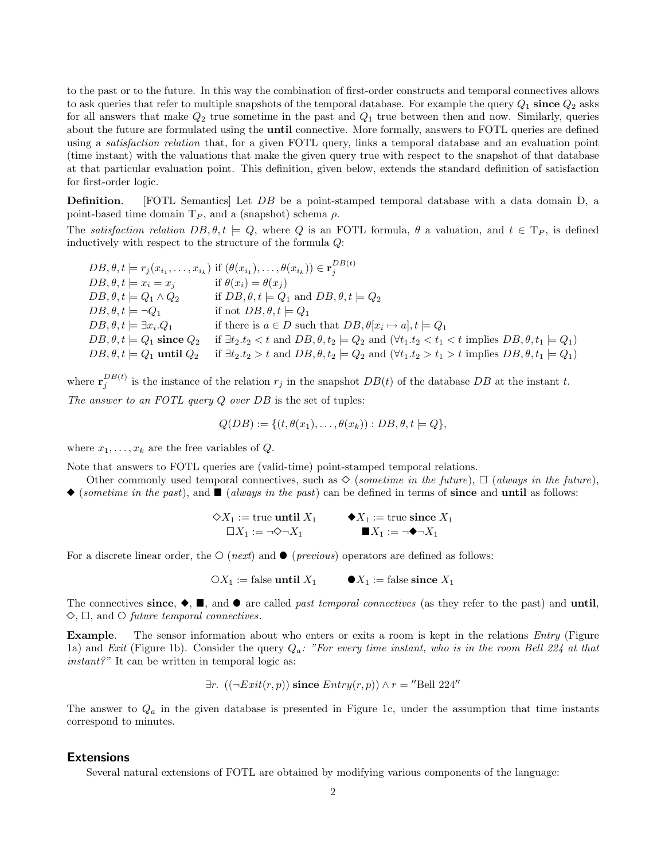to the past or to the future. In this way the combination of first-order constructs and temporal connectives allows to ask queries that refer to multiple snapshots of the temporal database. For example the query  $Q_1$  since  $Q_2$  asks for all answers that make  $Q_2$  true sometime in the past and  $Q_1$  true between then and now. Similarly, queries about the future are formulated using the until connective. More formally, answers to FOTL queries are defined using a satisfaction relation that, for a given FOTL query, links a temporal database and an evaluation point (time instant) with the valuations that make the given query true with respect to the snapshot of that database at that particular evaluation point. This definition, given below, extends the standard definition of satisfaction for first-order logic.

Definition. [FOTL Semantics] Let DB be a point-stamped temporal database with a data domain D, a point-based time domain  $T_P$ , and a (snapshot) schema  $\rho$ .

The satisfaction relation  $DB, \theta, t \models Q$ , where Q is an FOTL formula,  $\theta$  a valuation, and  $t \in T_P$ , is defined inductively with respect to the structure of the formula Q:

 $DB, \theta, t \models r_j(x_{i_1}, \ldots, x_{i_k})$  if  $(\theta(x_{i_1}), \ldots, \theta(x_{i_k})) \in \mathbf{r}_j^{DB(t)}$ j  $DB, \theta, t \models x_i = x_j$  if  $\theta(x_i) = \theta(x_j)$  $DB, \theta, t \models Q_1 \land Q_2$  if  $DB, \theta, t \models Q_1$  and  $DB, \theta, t \models Q_2$  $DB, \theta, t \models \neg Q_1$  if not  $DB, \theta, t \models Q_1$  $DB, \theta, t \models \exists x_i \ldotp Q_1$  if there is  $a \in D$  such that  $DB, \theta[x_i \mapsto a], t \models Q_1$  $DB, \theta, t \models Q_1$  since  $Q_2$  if  $\exists t_2.t_2 < t$  and  $DB, \theta, t_2 \models Q_2$  and  $(\forall t_1.t_2 < t_1 < t$  implies  $DB, \theta, t_1 \models Q_1)$  $DB, \theta, t \models Q_1$  until  $Q_2$  if  $\exists t_2.t_2 > t$  and  $DB, \theta, t_2 \models Q_2$  and  $(\forall t_1.t_2 > t_1 > t$  implies  $DB, \theta, t_1 \models Q_1)$ 

where  $\mathbf{r}_j^{DB(t)}$  is the instance of the relation  $r_j$  in the snapshot  $DB(t)$  of the database  $DB$  at the instant t. The answer to an FOTL query Q over DB is the set of tuples:

$$
Q(DB) := \{ (t, \theta(x_1), \ldots, \theta(x_k)) : DB, \theta, t \models Q \},
$$

where  $x_1, \ldots, x_k$  are the free variables of  $Q$ .

Note that answers to FOTL queries are (valid-time) point-stamped temporal relations.

- Other commonly used temporal connectives, such as  $\Diamond$  (sometime in the future),  $\Box$  (always in the future),
- $\bullet$  (sometime in the past), and  $\blacksquare$  (always in the past) can be defined in terms of since and until as follows:

$$
\diamondsuit X_1 := \text{true until } X_1 \qquad \blacklozenge X_1 := \text{true since } X_1
$$
  

$$
\square X_1 := \neg \diamondsuit \neg X_1 \qquad \blacksquare X_1 := \neg \blacklozenge \neg X_1
$$

For a discrete linear order, the  $\circ$  (*next*) and  $\bullet$  (*previous*) operators are defined as follows:

 $\bigcirc X_1 := \text{false}$  until  $X_1$   $\bullet X_1 := \text{false}$  since  $X_1$ 

The connectives since,  $\blacklozenge$ ,  $\blacksquare$ , and  $\blacktriangleright$  are called *past temporal connectives* (as they refer to the past) and until,  $\Diamond$ ,  $\Box$ , and  $\Diamond$  future temporal connectives.

Example. The sensor information about who enters or exits a room is kept in the relations *Entry* (Figure 1a) and Exit (Figure 1b). Consider the query  $Q_a$ : "For every time instant, who is in the room Bell 224 at that instant?" It can be written in temporal logic as:

$$
\exists r. ((\neg Ext(r, p)) \text{ since } Entry(r, p)) \land r = \text{``Bell 224''}
$$

The answer to  $Q_a$  in the given database is presented in Figure 1c, under the assumption that time instants correspond to minutes.

# Extensions

Several natural extensions of FOTL are obtained by modifying various components of the language: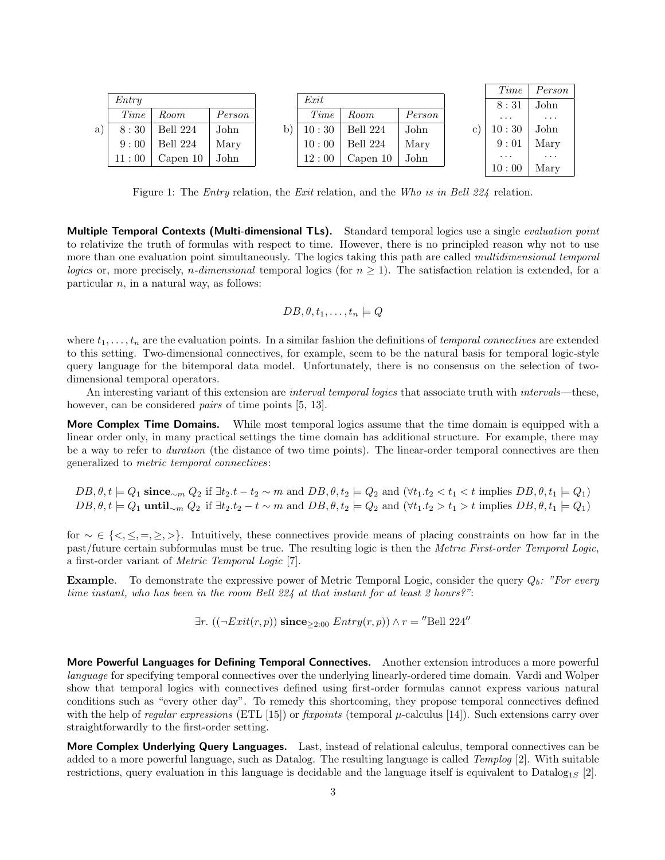|    |       |          |        |       |          |        | Time     | Person                  |
|----|-------|----------|--------|-------|----------|--------|----------|-------------------------|
|    | Entru |          |        | Exit  |          |        | 8:31     | John                    |
|    | Time  | Room     | Person | Time  | Room     | Person | $\cdots$ | $\cdot$ $\cdot$ $\cdot$ |
| a) | 8:30  | Bell 224 | John   | 10:30 | Bell 224 | John   | 10:30    | John                    |
|    | 9:00  | Bell 224 | Mary   | 10:00 | Bell 224 | Mary   | 9:01     | Mary                    |
|    | 11:00 | Capen 10 | John   | 12:00 | Capen 10 | John   | $\cdots$ | $\cdots$                |
|    |       |          |        |       |          |        | 10:00    | Mary                    |

Figure 1: The Entry relation, the Exit relation, and the Who is in Bell 224 relation.

Multiple Temporal Contexts (Multi-dimensional TLs). Standard temporal logics use a single evaluation point to relativize the truth of formulas with respect to time. However, there is no principled reason why not to use more than one evaluation point simultaneously. The logics taking this path are called multidimensional temporal logics or, more precisely, *n*-dimensional temporal logics (for  $n \geq 1$ ). The satisfaction relation is extended, for a particular  $n$ , in a natural way, as follows:

$$
DB, \theta, t_1, \ldots, t_n \models Q
$$

where  $t_1, \ldots, t_n$  are the evaluation points. In a similar fashion the definitions of *temporal connectives* are extended to this setting. Two-dimensional connectives, for example, seem to be the natural basis for temporal logic-style query language for the bitemporal data model. Unfortunately, there is no consensus on the selection of twodimensional temporal operators.

An interesting variant of this extension are *interval temporal logics* that associate truth with *intervals*—these, however, can be considered *pairs* of time points [5, 13].

More Complex Time Domains. While most temporal logics assume that the time domain is equipped with a linear order only, in many practical settings the time domain has additional structure. For example, there may be a way to refer to duration (the distance of two time points). The linear-order temporal connectives are then generalized to metric temporal connectives:

 $DB, \theta, t \models Q_1$  since<sub>∼m</sub>  $Q_2$  if  $\exists t_2.t - t_2 \sim m$  and  $DB, \theta, t_2 \models Q_2$  and  $(\forall t_1.t_2 < t_1 < t$  implies  $DB, \theta, t_1 \models Q_1)$  $DB, \theta, t \models Q_1$  until<sub>∼m</sub>  $Q_2$  if  $\exists t_2.t_2 - t \sim m$  and  $DB, \theta, t_2 \models Q_2$  and  $(\forall t_1.t_2 > t_1 > t$  implies  $DB, \theta, t_1 \models Q_1)$ 

for ∼ ∈ {<, ≤, =, ≥, >}. Intuitively, these connectives provide means of placing constraints on how far in the past/future certain subformulas must be true. The resulting logic is then the Metric First-order Temporal Logic, a first-order variant of Metric Temporal Logic [7].

**Example.** To demonstrate the expressive power of Metric Temporal Logic, consider the query  $Q_b$ : "For every time instant, who has been in the room Bell 224 at that instant for at least 2 hours?":

$$
\exists r. ((\neg Ext(r, p)) \text{ since}_{\geq 2:00} \text{ Entry}(r, p)) \land r = \text{``Bell 224''}
$$

More Powerful Languages for Defining Temporal Connectives. Another extension introduces a more powerful language for specifying temporal connectives over the underlying linearly-ordered time domain. Vardi and Wolper show that temporal logics with connectives defined using first-order formulas cannot express various natural conditions such as "every other day". To remedy this shortcoming, they propose temporal connectives defined with the help of regular expressions (ETL [15]) or fixpoints (temporal  $\mu$ -calculus [14]). Such extensions carry over straightforwardly to the first-order setting.

More Complex Underlying Query Languages. Last, instead of relational calculus, temporal connectives can be added to a more powerful language, such as Datalog. The resulting language is called Templog [2]. With suitable restrictions, query evaluation in this language is decidable and the language itself is equivalent to Datalog<sub>1S</sub> [2].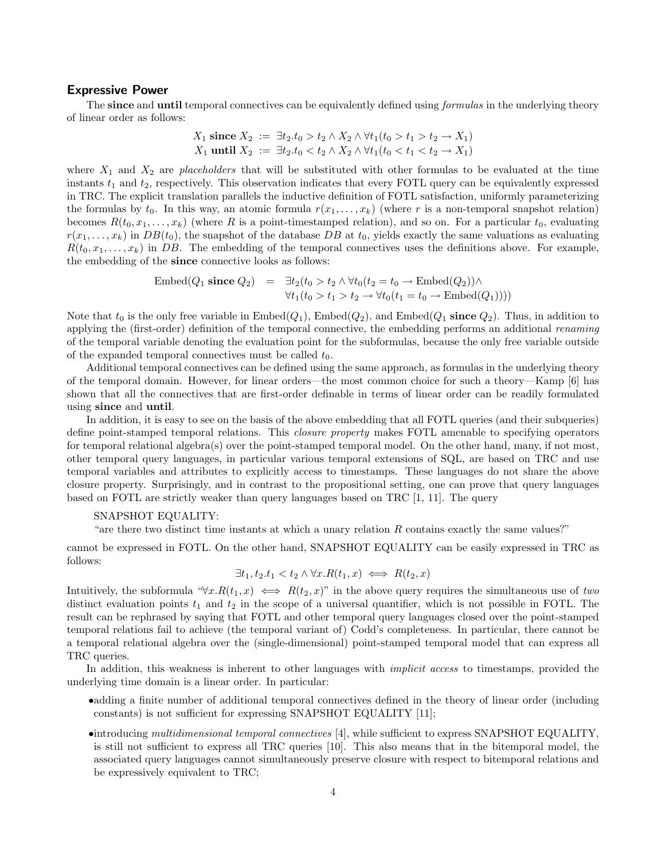#### Expressive Power

The since and until temporal connectives can be equivalently defined using *formulas* in the underlying theory of linear order as follows:

$$
X_1 \text{ since } X_2 := \exists t_2. t_0 > t_2 \land X_2 \land \forall t_1 (t_0 > t_1 > t_2 \to X_1)
$$
  

$$
X_1 \text{ until } X_2 := \exists t_2. t_0 < t_2 \land X_2 \land \forall t_1 (t_0 < t_1 < t_2 \to X_1)
$$

where  $X_1$  and  $X_2$  are *placeholders* that will be substituted with other formulas to be evaluated at the time instants  $t_1$  and  $t_2$ , respectively. This observation indicates that every FOTL query can be equivalently expressed in TRC. The explicit translation parallels the inductive definition of FOTL satisfaction, uniformly parameterizing the formulas by  $t_0$ . In this way, an atomic formula  $r(x_1, \ldots, x_k)$  (where r is a non-temporal snapshot relation) becomes  $R(t_0, x_1, \ldots, x_k)$  (where R is a point-timestamped relation), and so on. For a particular  $t_0$ , evaluating  $r(x_1, \ldots, x_k)$  in  $DB(t_0)$ , the snapshot of the database DB at  $t_0$ , yields exactly the same valuations as evaluating  $R(t_0, x_1, \ldots, x_k)$  in DB. The embedding of the temporal connectives uses the definitions above. For example, the embedding of the since connective looks as follows:

$$
\begin{array}{rcl}\n\text{Embed}(Q_1 \text{ since } Q_2) & = & \exists t_2 (t_0 > t_2 \land \forall t_0 (t_2 = t_0 \to \text{Embed}(Q_2)) \land \\
& \forall t_1 (t_0 > t_1 > t_2 \to \forall t_0 (t_1 = t_0 \to \text{Embed}(Q_1))))\n\end{array}
$$

Note that  $t_0$  is the only free variable in  $\text{Embed}(Q_1)$ ,  $\text{Embed}(Q_2)$ , and  $\text{Embed}(Q_1 \text{ since } Q_2)$ . Thus, in addition to applying the (first-order) definition of the temporal connective, the embedding performs an additional *renaming* of the temporal variable denoting the evaluation point for the subformulas, because the only free variable outside of the expanded temporal connectives must be called  $t_0$ .

Additional temporal connectives can be defined using the same approach, as formulas in the underlying theory of the temporal domain. However, for linear orders—the most common choice for such a theory—Kamp [6] has shown that all the connectives that are first-order definable in terms of linear order can be readily formulated using since and until.

In addition, it is easy to see on the basis of the above embedding that all FOTL queries (and their subqueries) define point-stamped temporal relations. This closure property makes FOTL amenable to specifying operators for temporal relational algebra(s) over the point-stamped temporal model. On the other hand, many, if not most, other temporal query languages, in particular various temporal extensions of SQL, are based on TRC and use temporal variables and attributes to explicitly access to timestamps. These languages do not share the above closure property. Surprisingly, and in contrast to the propositional setting, one can prove that query languages based on FOTL are strictly weaker than query languages based on TRC [1, 11]. The query

#### SNAPSHOT EQUALITY:

"are there two distinct time instants at which a unary relation R contains exactly the same values?"

cannot be expressed in FOTL. On the other hand, SNAPSHOT EQUALITY can be easily expressed in TRC as follows:

$$
\exists t_1, t_2. t_1 < t_2 \land \forall x. R(t_1, x) \iff R(t_2, x)
$$

Intuitively, the subformula " $\forall x. R(t_1, x) \iff R(t_2, x)$ " in the above query requires the simultaneous use of two distinct evaluation points  $t_1$  and  $t_2$  in the scope of a universal quantifier, which is not possible in FOTL. The result can be rephrased by saying that FOTL and other temporal query languages closed over the point-stamped temporal relations fail to achieve (the temporal variant of) Codd's completeness. In particular, there cannot be a temporal relational algebra over the (single-dimensional) point-stamped temporal model that can express all TRC queries.

In addition, this weakness is inherent to other languages with *implicit access* to timestamps, provided the underlying time domain is a linear order. In particular:

- •adding a finite number of additional temporal connectives defined in the theory of linear order (including constants) is not sufficient for expressing SNAPSHOT EQUALITY [11];
- •introducing multidimensional temporal connectives [4], while sufficient to express SNAPSHOT EQUALITY, is still not sufficient to express all TRC queries [10]. This also means that in the bitemporal model, the associated query languages cannot simultaneously preserve closure with respect to bitemporal relations and be expressively equivalent to TRC;